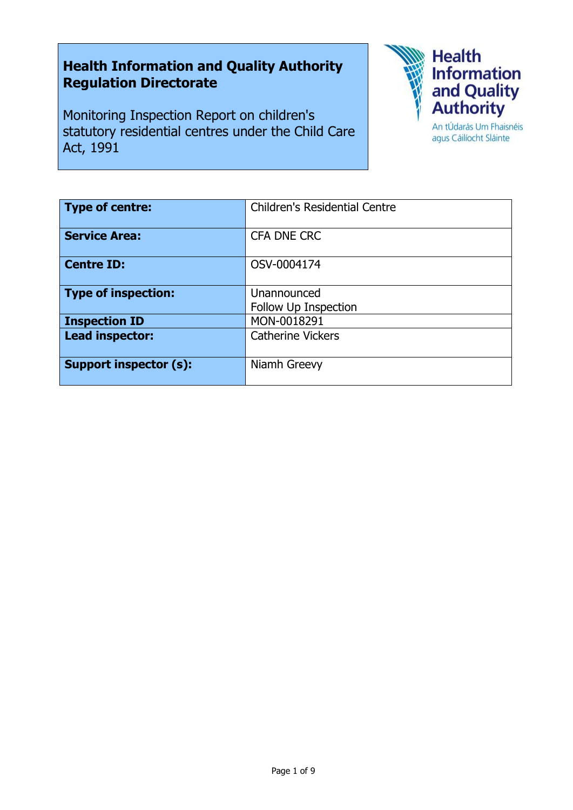# **Health Information and Quality Authority Regulation Directorate**

Monitoring Inspection Report on children's statutory residential centres under the Child Care Act, 1991



agus Cáilíocht Sláinte

| <b>Type of centre:</b>        | <b>Children's Residential Centre</b> |
|-------------------------------|--------------------------------------|
| <b>Service Area:</b>          | CFA DNE CRC                          |
| <b>Centre ID:</b>             | OSV-0004174                          |
| <b>Type of inspection:</b>    | Unannounced<br>Follow Up Inspection  |
| <b>Inspection ID</b>          | MON-0018291                          |
| Lead inspector:               | <b>Catherine Vickers</b>             |
| <b>Support inspector (s):</b> | Niamh Greevy                         |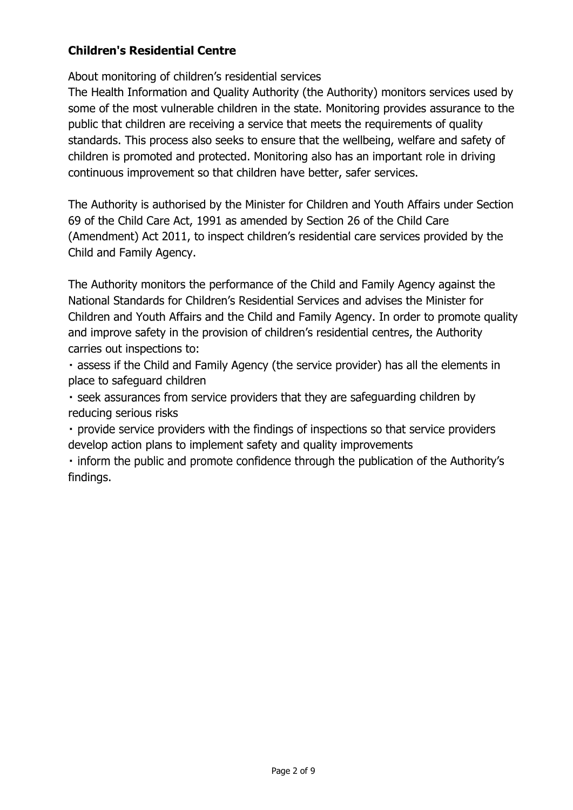## **Children's Residential Centre**

About monitoring of children's residential services

The Health Information and Quality Authority (the Authority) monitors services used by some of the most vulnerable children in the state. Monitoring provides assurance to the public that children are receiving a service that meets the requirements of quality standards. This process also seeks to ensure that the wellbeing, welfare and safety of children is promoted and protected. Monitoring also has an important role in driving continuous improvement so that children have better, safer services.

The Authority is authorised by the Minister for Children and Youth Affairs under Section 69 of the Child Care Act, 1991 as amended by Section 26 of the Child Care (Amendment) Act 2011, to inspect children's residential care services provided by the Child and Family Agency.

The Authority monitors the performance of the Child and Family Agency against the National Standards for Children's Residential Services and advises the Minister for Children and Youth Affairs and the Child and Family Agency. In order to promote quality and improve safety in the provision of children's residential centres, the Authority carries out inspections to:

. assess if the Child and Family Agency (the service provider) has all the elements in place to safeguard children

• seek assurances from service providers that they are safeguarding children by reducing serious risks

· provide service providers with the findings of inspections so that service providers develop action plans to implement safety and quality improvements

 $\cdot$  inform the public and promote confidence through the publication of the Authority's findings.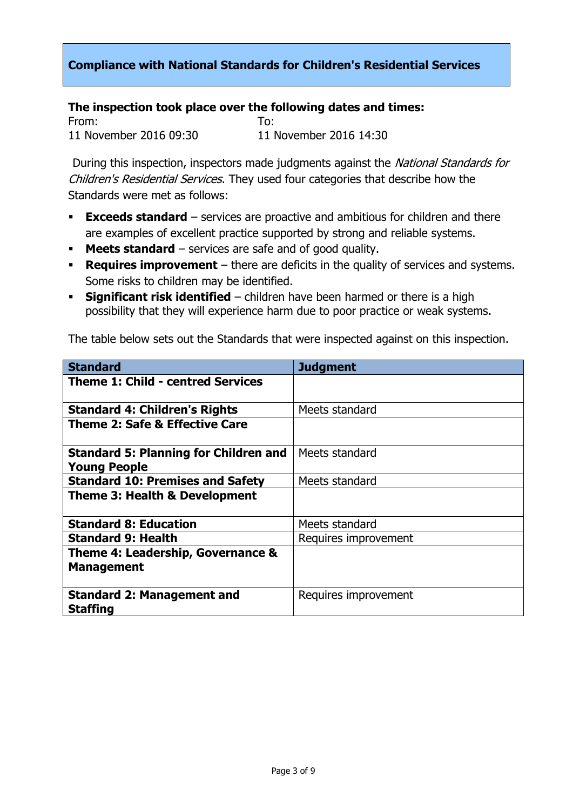## **Compliance with National Standards for Children's Residential Services**

## **The inspection took place over the following dates and times:**

From: To: 11 November 2016 09:30 11 November 2016 14:30

During this inspection, inspectors made judgments against the National Standards for Children's Residential Services. They used four categories that describe how the Standards were met as follows:

- **Exceeds standard** services are proactive and ambitious for children and there are examples of excellent practice supported by strong and reliable systems.
- **Meets standard** services are safe and of good quality.
- **Requires improvement** there are deficits in the quality of services and systems. Some risks to children may be identified.
- **Significant risk identified** children have been harmed or there is a high possibility that they will experience harm due to poor practice or weak systems.

The table below sets out the Standards that were inspected against on this inspection.

| <b>Standard</b>                              | <b>Judgment</b>      |
|----------------------------------------------|----------------------|
| <b>Theme 1: Child - centred Services</b>     |                      |
|                                              |                      |
| <b>Standard 4: Children's Rights</b>         | Meets standard       |
| <b>Theme 2: Safe &amp; Effective Care</b>    |                      |
|                                              |                      |
| <b>Standard 5: Planning for Children and</b> | Meets standard       |
| <b>Young People</b>                          |                      |
| <b>Standard 10: Premises and Safety</b>      | Meets standard       |
| <b>Theme 3: Health &amp; Development</b>     |                      |
|                                              |                      |
| <b>Standard 8: Education</b>                 | Meets standard       |
| <b>Standard 9: Health</b>                    | Requires improvement |
| Theme 4: Leadership, Governance &            |                      |
| <b>Management</b>                            |                      |
|                                              |                      |
| <b>Standard 2: Management and</b>            | Requires improvement |
| <b>Staffing</b>                              |                      |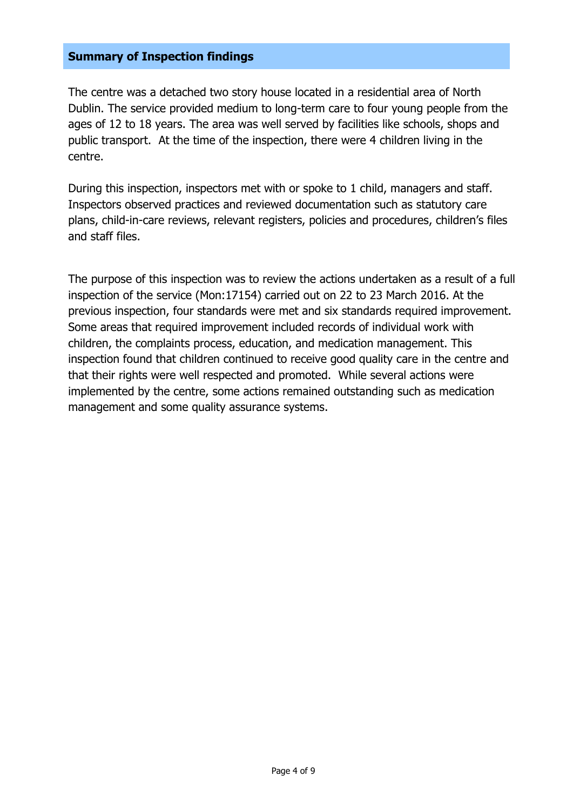## **Summary of Inspection findings**

The centre was a detached two story house located in a residential area of North Dublin. The service provided medium to long-term care to four young people from the ages of 12 to 18 years. The area was well served by facilities like schools, shops and public transport. At the time of the inspection, there were 4 children living in the centre.

During this inspection, inspectors met with or spoke to 1 child, managers and staff. Inspectors observed practices and reviewed documentation such as statutory care plans, child-in-care reviews, relevant registers, policies and procedures, children's files and staff files.

The purpose of this inspection was to review the actions undertaken as a result of a full inspection of the service (Mon:17154) carried out on 22 to 23 March 2016. At the previous inspection, four standards were met and six standards required improvement. Some areas that required improvement included records of individual work with children, the complaints process, education, and medication management. This inspection found that children continued to receive good quality care in the centre and that their rights were well respected and promoted. While several actions were implemented by the centre, some actions remained outstanding such as medication management and some quality assurance systems.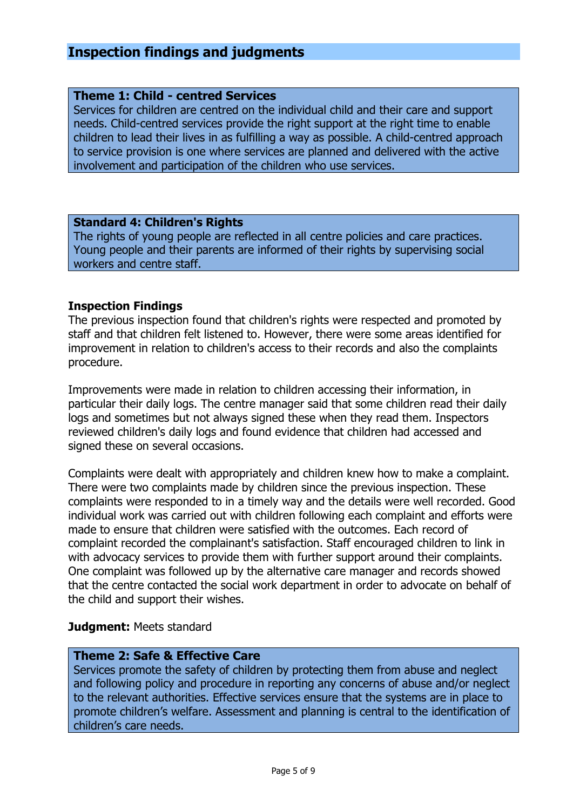# **Inspection findings and judgments**

## **Theme 1: Child - centred Services**

Services for children are centred on the individual child and their care and support needs. Child-centred services provide the right support at the right time to enable children to lead their lives in as fulfilling a way as possible. A child-centred approach to service provision is one where services are planned and delivered with the active involvement and participation of the children who use services.

#### **Standard 4: Children's Rights**

The rights of young people are reflected in all centre policies and care practices. Young people and their parents are informed of their rights by supervising social workers and centre staff.

## **Inspection Findings**

The previous inspection found that children's rights were respected and promoted by staff and that children felt listened to. However, there were some areas identified for improvement in relation to children's access to their records and also the complaints procedure.

Improvements were made in relation to children accessing their information, in particular their daily logs. The centre manager said that some children read their daily logs and sometimes but not always signed these when they read them. Inspectors reviewed children's daily logs and found evidence that children had accessed and signed these on several occasions.

Complaints were dealt with appropriately and children knew how to make a complaint. There were two complaints made by children since the previous inspection. These complaints were responded to in a timely way and the details were well recorded. Good individual work was carried out with children following each complaint and efforts were made to ensure that children were satisfied with the outcomes. Each record of complaint recorded the complainant's satisfaction. Staff encouraged children to link in with advocacy services to provide them with further support around their complaints. One complaint was followed up by the alternative care manager and records showed that the centre contacted the social work department in order to advocate on behalf of the child and support their wishes.

## **Judgment:** Meets standard

## **Theme 2: Safe & Effective Care**

Services promote the safety of children by protecting them from abuse and neglect and following policy and procedure in reporting any concerns of abuse and/or neglect to the relevant authorities. Effective services ensure that the systems are in place to promote children's welfare. Assessment and planning is central to the identification of children's care needs.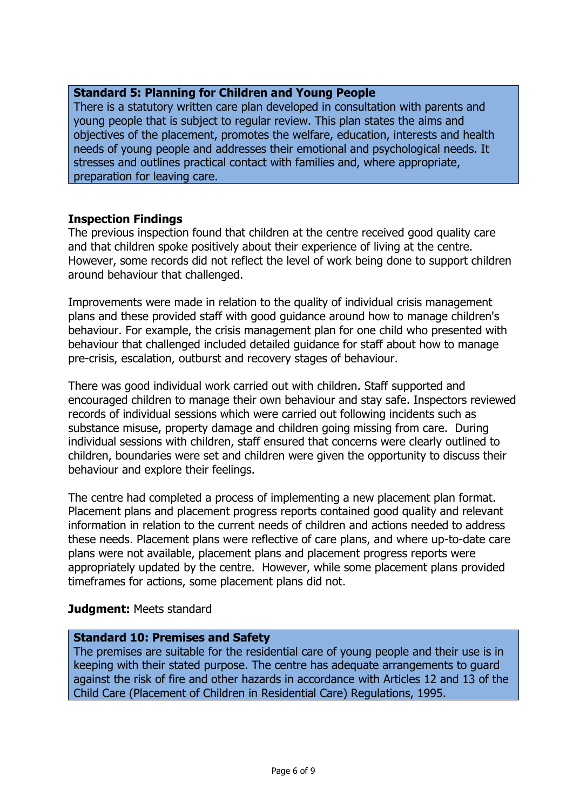## **Standard 5: Planning for Children and Young People**

There is a statutory written care plan developed in consultation with parents and young people that is subject to regular review. This plan states the aims and objectives of the placement, promotes the welfare, education, interests and health needs of young people and addresses their emotional and psychological needs. It stresses and outlines practical contact with families and, where appropriate, preparation for leaving care.

## **Inspection Findings**

The previous inspection found that children at the centre received good quality care and that children spoke positively about their experience of living at the centre. However, some records did not reflect the level of work being done to support children around behaviour that challenged.

Improvements were made in relation to the quality of individual crisis management plans and these provided staff with good guidance around how to manage children's behaviour. For example, the crisis management plan for one child who presented with behaviour that challenged included detailed guidance for staff about how to manage pre-crisis, escalation, outburst and recovery stages of behaviour.

There was good individual work carried out with children. Staff supported and encouraged children to manage their own behaviour and stay safe. Inspectors reviewed records of individual sessions which were carried out following incidents such as substance misuse, property damage and children going missing from care. During individual sessions with children, staff ensured that concerns were clearly outlined to children, boundaries were set and children were given the opportunity to discuss their behaviour and explore their feelings.

The centre had completed a process of implementing a new placement plan format. Placement plans and placement progress reports contained good quality and relevant information in relation to the current needs of children and actions needed to address these needs. Placement plans were reflective of care plans, and where up-to-date care plans were not available, placement plans and placement progress reports were appropriately updated by the centre. However, while some placement plans provided timeframes for actions, some placement plans did not.

## **Judgment:** Meets standard

## **Standard 10: Premises and Safety**

The premises are suitable for the residential care of young people and their use is in keeping with their stated purpose. The centre has adequate arrangements to guard against the risk of fire and other hazards in accordance with Articles 12 and 13 of the Child Care (Placement of Children in Residential Care) Regulations, 1995.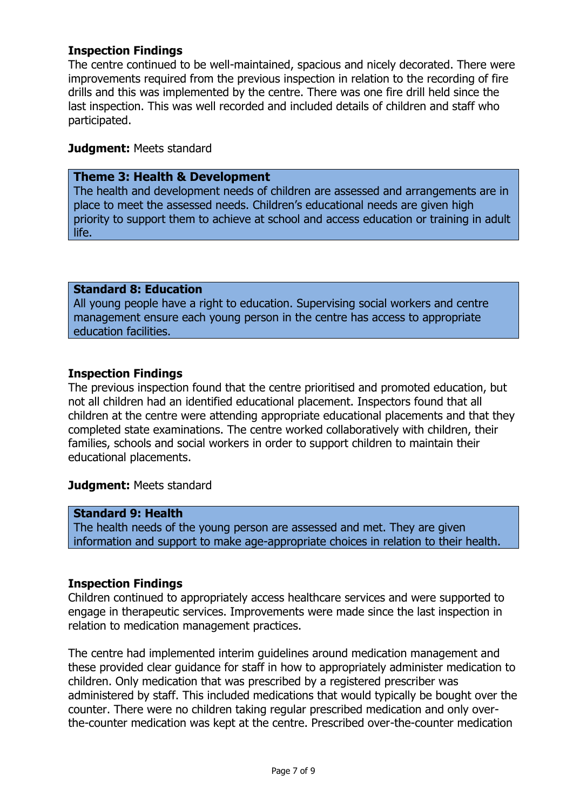## **Inspection Findings**

The centre continued to be well-maintained, spacious and nicely decorated. There were improvements required from the previous inspection in relation to the recording of fire drills and this was implemented by the centre. There was one fire drill held since the last inspection. This was well recorded and included details of children and staff who participated.

## **Judgment:** Meets standard

## **Theme 3: Health & Development**

The health and development needs of children are assessed and arrangements are in place to meet the assessed needs. Children's educational needs are given high priority to support them to achieve at school and access education or training in adult life.

## **Standard 8: Education**

All young people have a right to education. Supervising social workers and centre management ensure each young person in the centre has access to appropriate education facilities.

## **Inspection Findings**

The previous inspection found that the centre prioritised and promoted education, but not all children had an identified educational placement. Inspectors found that all children at the centre were attending appropriate educational placements and that they completed state examinations. The centre worked collaboratively with children, their families, schools and social workers in order to support children to maintain their educational placements.

## **Judgment:** Meets standard

## **Standard 9: Health**

The health needs of the young person are assessed and met. They are given information and support to make age-appropriate choices in relation to their health.

## **Inspection Findings**

Children continued to appropriately access healthcare services and were supported to engage in therapeutic services. Improvements were made since the last inspection in relation to medication management practices.

The centre had implemented interim guidelines around medication management and these provided clear guidance for staff in how to appropriately administer medication to children. Only medication that was prescribed by a registered prescriber was administered by staff. This included medications that would typically be bought over the counter. There were no children taking regular prescribed medication and only overthe-counter medication was kept at the centre. Prescribed over-the-counter medication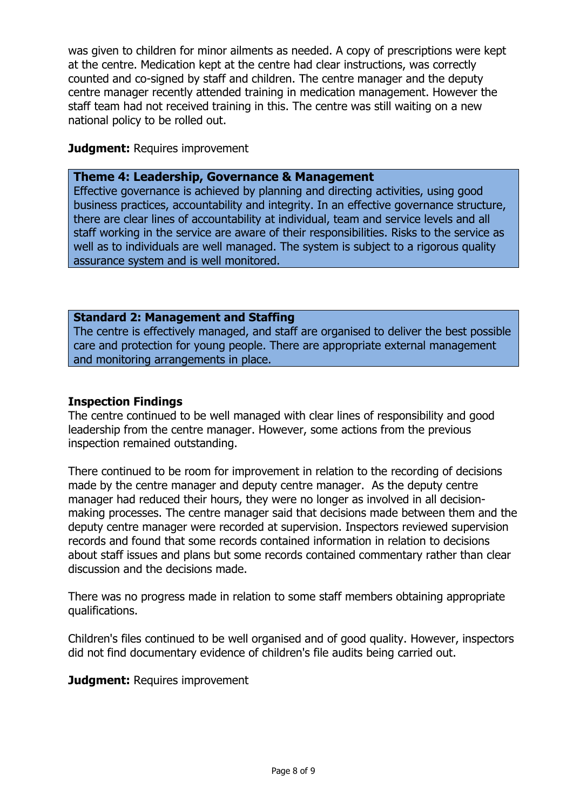was given to children for minor ailments as needed. A copy of prescriptions were kept at the centre. Medication kept at the centre had clear instructions, was correctly counted and co-signed by staff and children. The centre manager and the deputy centre manager recently attended training in medication management. However the staff team had not received training in this. The centre was still waiting on a new national policy to be rolled out.

## **Judament: Requires improvement**

## **Theme 4: Leadership, Governance & Management**

Effective governance is achieved by planning and directing activities, using good business practices, accountability and integrity. In an effective governance structure, there are clear lines of accountability at individual, team and service levels and all staff working in the service are aware of their responsibilities. Risks to the service as well as to individuals are well managed. The system is subject to a rigorous quality assurance system and is well monitored.

## **Standard 2: Management and Staffing**

The centre is effectively managed, and staff are organised to deliver the best possible care and protection for young people. There are appropriate external management and monitoring arrangements in place.

## **Inspection Findings**

The centre continued to be well managed with clear lines of responsibility and good leadership from the centre manager. However, some actions from the previous inspection remained outstanding.

There continued to be room for improvement in relation to the recording of decisions made by the centre manager and deputy centre manager. As the deputy centre manager had reduced their hours, they were no longer as involved in all decisionmaking processes. The centre manager said that decisions made between them and the deputy centre manager were recorded at supervision. Inspectors reviewed supervision records and found that some records contained information in relation to decisions about staff issues and plans but some records contained commentary rather than clear discussion and the decisions made.

There was no progress made in relation to some staff members obtaining appropriate qualifications.

Children's files continued to be well organised and of good quality. However, inspectors did not find documentary evidence of children's file audits being carried out.

**Judgment: Requires improvement**